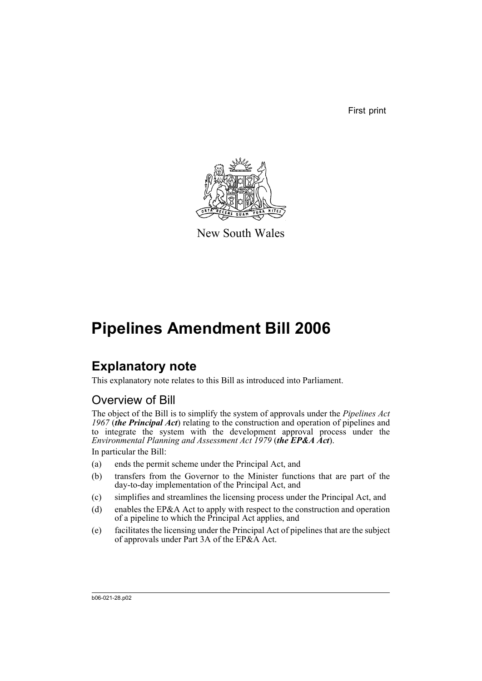First print



New South Wales

# **Pipelines Amendment Bill 2006**

# **Explanatory note**

This explanatory note relates to this Bill as introduced into Parliament.

### Overview of Bill

The object of the Bill is to simplify the system of approvals under the *Pipelines Act 1967* (*the Principal Act*) relating to the construction and operation of pipelines and to integrate the system with the development approval process under the *Environmental Planning and Assessment Act 1979* (*the EP&A Act*).

In particular the Bill:

- (a) ends the permit scheme under the Principal Act, and
- (b) transfers from the Governor to the Minister functions that are part of the day-to-day implementation of the Principal Act, and
- (c) simplifies and streamlines the licensing process under the Principal Act, and
- (d) enables the EP&A Act to apply with respect to the construction and operation of a pipeline to which the Principal Act applies, and
- (e) facilitates the licensing under the Principal Act of pipelines that are the subject of approvals under Part 3A of the EP&A Act.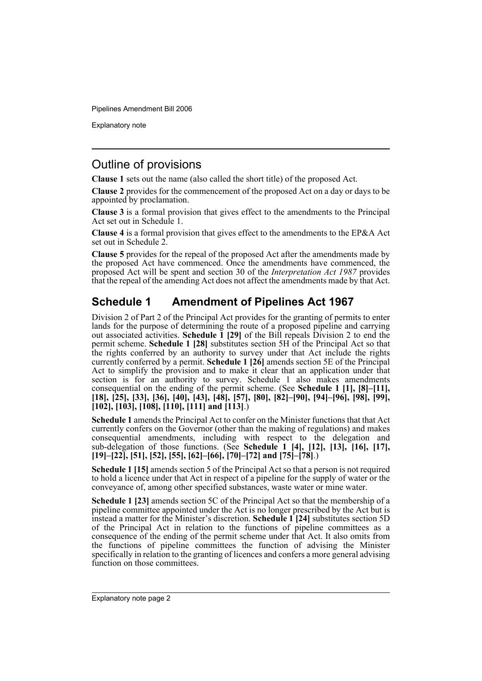Explanatory note

#### Outline of provisions

**Clause 1** sets out the name (also called the short title) of the proposed Act.

**Clause 2** provides for the commencement of the proposed Act on a day or days to be appointed by proclamation.

**Clause 3** is a formal provision that gives effect to the amendments to the Principal Act set out in Schedule 1.

**Clause 4** is a formal provision that gives effect to the amendments to the EP&A Act set out in Schedule 2.

**Clause 5** provides for the repeal of the proposed Act after the amendments made by the proposed Act have commenced. Once the amendments have commenced, the proposed Act will be spent and section 30 of the *Interpretation Act 1987* provides that the repeal of the amending Act does not affect the amendments made by that Act.

### **Schedule 1 Amendment of Pipelines Act 1967**

Division 2 of Part 2 of the Principal Act provides for the granting of permits to enter lands for the purpose of determining the route of a proposed pipeline and carrying out associated activities. **Schedule 1 [29]** of the Bill repeals Division 2 to end the permit scheme. **Schedule 1 [28]** substitutes section 5H of the Principal Act so that the rights conferred by an authority to survey under that Act include the rights currently conferred by a permit. **Schedule 1 [26]** amends section 5E of the Principal Act to simplify the provision and to make it clear that an application under that section is for an authority to survey. Schedule 1 also makes amendments consequential on the ending of the permit scheme. (See **Schedule 1 [1], [8]–[11], [18], [25], [33], [36], [40], [43], [48], [57], [80], [82]–[90], [94]–[96], [98], [99], [102], [103], [108], [110], [111] and [113]**.)

**Schedule 1** amends the Principal Act to confer on the Minister functions that that Act currently confers on the Governor (other than the making of regulations) and makes consequential amendments, including with respect to the delegation and sub-delegation of those functions. (See **Schedule 1 [4], [12], [13], [16], [17], [19]–[22], [51], [52], [55], [62]–[66], [70]–[72] and [75]–[78]**.)

**Schedule 1 [15]** amends section 5 of the Principal Act so that a person is not required to hold a licence under that Act in respect of a pipeline for the supply of water or the conveyance of, among other specified substances, waste water or mine water.

**Schedule 1 [23]** amends section 5C of the Principal Act so that the membership of a pipeline committee appointed under the Act is no longer prescribed by the Act but is instead a matter for the Minister's discretion. **Schedule 1 [24]** substitutes section 5D of the Principal Act in relation to the functions of pipeline committees as a consequence of the ending of the permit scheme under that Act. It also omits from the functions of pipeline committees the function of advising the Minister specifically in relation to the granting of licences and confers a more general advising function on those committees.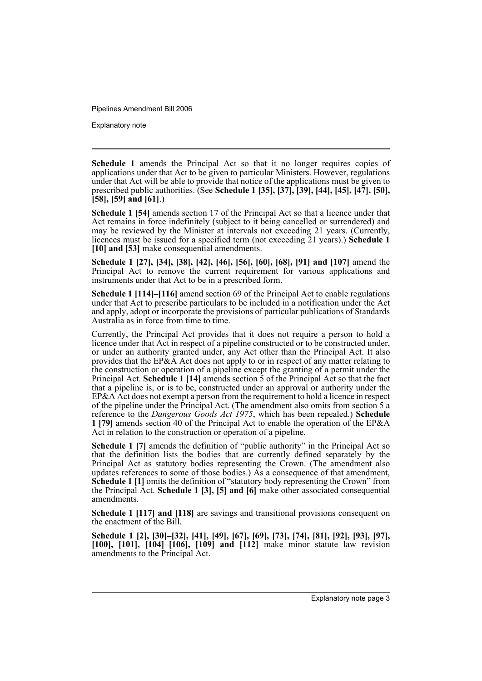Explanatory note

**Schedule 1** amends the Principal Act so that it no longer requires copies of applications under that Act to be given to particular Ministers. However, regulations under that Act will be able to provide that notice of the applications must be given to prescribed public authorities. (See **Schedule 1 [35], [37], [39], [44], [45], [47], [50], [58], [59] and [61]**.)

**Schedule 1 [54]** amends section 17 of the Principal Act so that a licence under that Act remains in force indefinitely (subject to it being cancelled or surrendered) and may be reviewed by the Minister at intervals not exceeding 21 years. (Currently, licences must be issued for a specified term (not exceeding 21 years).) **Schedule 1 [10] and [53]** make consequential amendments.

**Schedule 1 [27], [34], [38], [42], [46], [56], [60], [68], [91] and [107]** amend the Principal Act to remove the current requirement for various applications and instruments under that Act to be in a prescribed form.

**Schedule 1 [114]–[116]** amend section 69 of the Principal Act to enable regulations under that Act to prescribe particulars to be included in a notification under the Act and apply, adopt or incorporate the provisions of particular publications of Standards Australia as in force from time to time.

Currently, the Principal Act provides that it does not require a person to hold a licence under that Act in respect of a pipeline constructed or to be constructed under, or under an authority granted under, any Act other than the Principal Act. It also provides that the EP&A Act does not apply to or in respect of any matter relating to the construction or operation of a pipeline except the granting of a permit under the Principal Act. **Schedule 1 [14]** amends section 5 of the Principal Act so that the fact that a pipeline is, or is to be, constructed under an approval or authority under the EP&A Act does not exempt a person from the requirement to hold a licence in respect of the pipeline under the Principal Act. (The amendment also omits from section 5 a reference to the *Dangerous Goods Act 1975*, which has been repealed.) **Schedule 1 [79]** amends section 40 of the Principal Act to enable the operation of the EP&A Act in relation to the construction or operation of a pipeline.

**Schedule 1 [7]** amends the definition of "public authority" in the Principal Act so that the definition lists the bodies that are currently defined separately by the Principal Act as statutory bodies representing the Crown. (The amendment also updates references to some of those bodies.) As a consequence of that amendment, **Schedule 1** [1] omits the definition of "statutory body representing the Crown" from the Principal Act. **Schedule 1 [3], [5] and [6]** make other associated consequential amendments.

**Schedule 1 [117] and [118]** are savings and transitional provisions consequent on the enactment of the Bill.

**Schedule 1 [2], [30]–[32], [41], [49], [67], [69], [73], [74], [81], [92], [93], [97], [100], [101], [104]–[106], [109] and [112]** make minor statute law revision amendments to the Principal Act.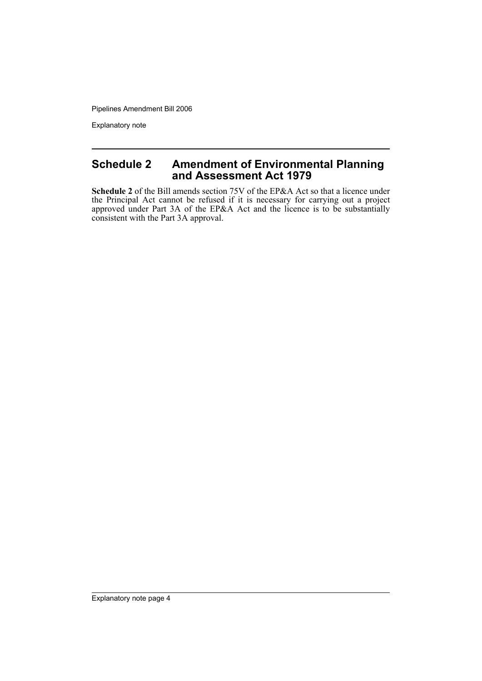Explanatory note

#### **Schedule 2 Amendment of Environmental Planning and Assessment Act 1979**

**Schedule 2** of the Bill amends section 75V of the EP&A Act so that a licence under the Principal Act cannot be refused if it is necessary for carrying out a project approved under Part 3A of the EP&A Act and the licence is to be substantially consistent with the Part 3A approval.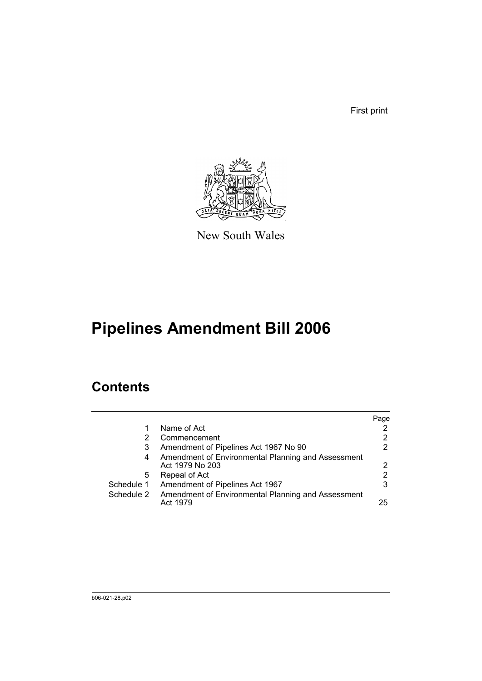First print



New South Wales

# **Pipelines Amendment Bill 2006**

### **Contents**

|            |                                                                       | Page |
|------------|-----------------------------------------------------------------------|------|
|            | Name of Act                                                           |      |
| 2          | Commencement                                                          | 2    |
| 3          | Amendment of Pipelines Act 1967 No 90                                 | 2    |
| 4          | Amendment of Environmental Planning and Assessment<br>Act 1979 No 203 | 2    |
| 5          | Repeal of Act                                                         | 2    |
| Schedule 1 | Amendment of Pipelines Act 1967                                       | 3    |
| Schedule 2 | Amendment of Environmental Planning and Assessment<br>Act 1979        | 25   |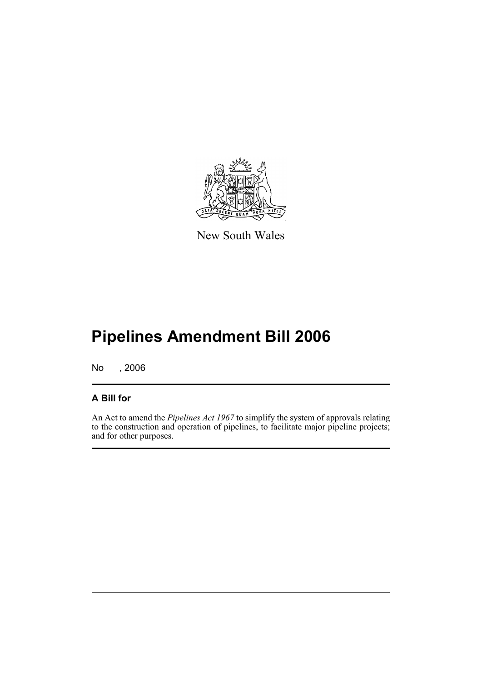

New South Wales

# **Pipelines Amendment Bill 2006**

No , 2006

#### **A Bill for**

An Act to amend the *Pipelines Act 1967* to simplify the system of approvals relating to the construction and operation of pipelines, to facilitate major pipeline projects; and for other purposes.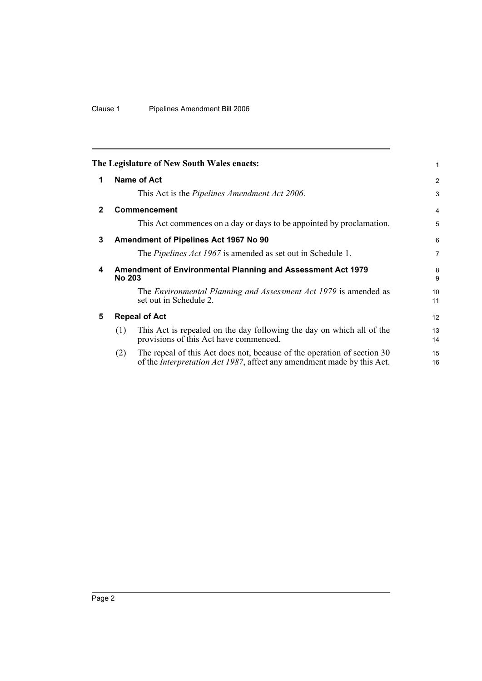|              |               | The Legislature of New South Wales enacts:                                                                                                                | 1              |
|--------------|---------------|-----------------------------------------------------------------------------------------------------------------------------------------------------------|----------------|
| 1            |               | <b>Name of Act</b>                                                                                                                                        | 2              |
|              |               | This Act is the Pipelines Amendment Act 2006.                                                                                                             | 3              |
| $\mathbf{2}$ |               | <b>Commencement</b>                                                                                                                                       | 4              |
|              |               | This Act commences on a day or days to be appointed by proclamation.                                                                                      | 5              |
| 3            |               | <b>Amendment of Pipelines Act 1967 No 90</b>                                                                                                              | 6              |
|              |               | The <i>Pipelines Act 1967</i> is amended as set out in Schedule 1.                                                                                        | $\overline{7}$ |
| 4            | <b>No 203</b> | Amendment of Environmental Planning and Assessment Act 1979                                                                                               | 8<br>9         |
|              |               | The <i>Environmental Planning and Assessment Act 1979</i> is amended as<br>set out in Schedule 2.                                                         | 10<br>11       |
| 5            |               | <b>Repeal of Act</b>                                                                                                                                      | 12             |
|              | (1)           | This Act is repealed on the day following the day on which all of the<br>provisions of this Act have commenced.                                           | 13<br>14       |
|              | (2)           | The repeal of this Act does not, because of the operation of section 30<br>of the <i>Interpretation Act 1987</i> , affect any amendment made by this Act. | 15<br>16       |
|              |               |                                                                                                                                                           |                |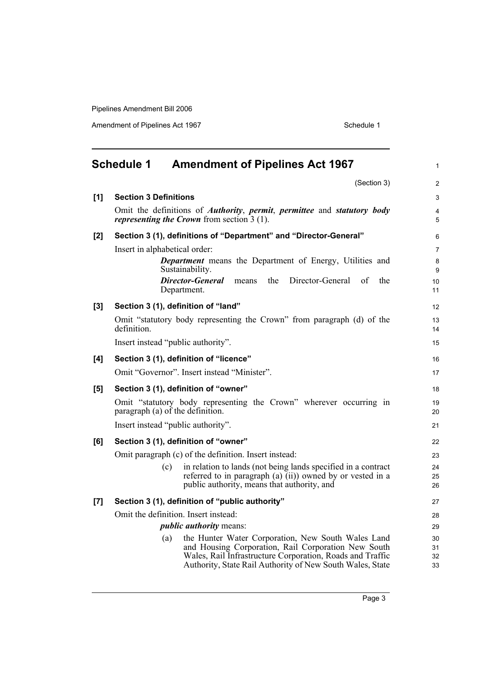|     | <b>Schedule 1</b>            | <b>Amendment of Pipelines Act 1967</b>                                                                                                                       | $\mathbf{1}$   |
|-----|------------------------------|--------------------------------------------------------------------------------------------------------------------------------------------------------------|----------------|
|     |                              | (Section 3)                                                                                                                                                  | 2              |
| [1] | <b>Section 3 Definitions</b> |                                                                                                                                                              | 3              |
|     |                              | Omit the definitions of <i>Authority</i> , <i>permit</i> , <i>permittee</i> and <i>statutory body</i><br><i>representing the Crown</i> from section $3(1)$ . | 4<br>5         |
| [2] |                              | Section 3 (1), definitions of "Department" and "Director-General"                                                                                            | 6              |
|     |                              | Insert in alphabetical order:                                                                                                                                | $\overline{7}$ |
|     |                              | <b>Department</b> means the Department of Energy, Utilities and<br>Sustainability.                                                                           | 8<br>9         |
|     |                              | Director-General<br>Director-General<br>the<br>of<br>the<br>means<br>Department.                                                                             | 10<br>11       |
| [3] |                              | Section 3 (1), definition of "land"                                                                                                                          | 12             |
|     | definition.                  | Omit "statutory body representing the Crown" from paragraph (d) of the                                                                                       | 13<br>14       |
|     |                              | Insert instead "public authority".                                                                                                                           | 15             |
| [4] |                              | Section 3 (1), definition of "licence"                                                                                                                       | 16             |
|     |                              | Omit "Governor". Insert instead "Minister".                                                                                                                  | 17             |
| [5] |                              | Section 3 (1), definition of "owner"                                                                                                                         | 18             |
|     |                              | Omit "statutory body representing the Crown" wherever occurring in<br>paragraph (a) of the definition.                                                       | $19$<br>20     |
|     |                              | Insert instead "public authority".                                                                                                                           | 21             |
| [6] |                              | Section 3 (1), definition of "owner"                                                                                                                         | 22             |
|     |                              | Omit paragraph (c) of the definition. Insert instead:                                                                                                        | 23             |
|     |                              | in relation to lands (not being lands specified in a contract<br>(c)<br>referred to in paragraph (a) (ii)) owned by or vested in a                           | 24<br>25       |
|     |                              | public authority, means that authority, and                                                                                                                  | 26             |
| [7] |                              | Section 3 (1), definition of "public authority"                                                                                                              | 27             |
|     |                              | Omit the definition. Insert instead:                                                                                                                         | 28             |
|     |                              | <i>public authority means:</i>                                                                                                                               | 29             |
|     |                              | the Hunter Water Corporation, New South Wales Land<br>(a)                                                                                                    | 30             |
|     |                              | and Housing Corporation, Rail Corporation New South<br>Wales, Rail Infrastructure Corporation, Roads and Traffic                                             | 31<br>32       |
|     |                              | Authority, State Rail Authority of New South Wales, State                                                                                                    | 33             |
|     |                              |                                                                                                                                                              |                |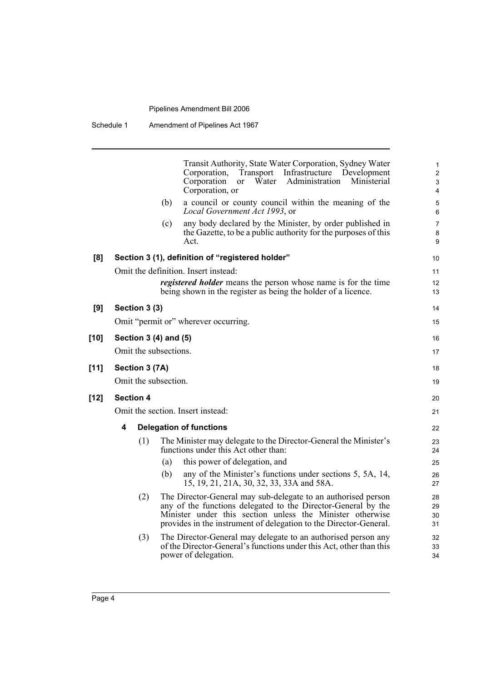|        |                       | Transit Authority, State Water Corporation, Sydney Water<br>Corporation,<br>Transport<br>Infrastructure<br>Development<br>Ministerial<br>Corporation<br>Water<br>Administration<br>$\alpha$<br>Corporation, or                                                   | 1<br>$\overline{2}$<br>$\ensuremath{\mathsf{3}}$<br>4 |
|--------|-----------------------|------------------------------------------------------------------------------------------------------------------------------------------------------------------------------------------------------------------------------------------------------------------|-------------------------------------------------------|
|        |                       | a council or county council within the meaning of the<br>(b)<br>Local Government Act 1993, or                                                                                                                                                                    | 5<br>6                                                |
|        |                       | any body declared by the Minister, by order published in<br>(c)<br>the Gazette, to be a public authority for the purposes of this<br>Act.                                                                                                                        | $\overline{7}$<br>8<br>9                              |
| [8]    |                       | Section 3 (1), definition of "registered holder"                                                                                                                                                                                                                 | 10                                                    |
|        |                       | Omit the definition. Insert instead:                                                                                                                                                                                                                             | 11                                                    |
|        |                       | <i>registered holder</i> means the person whose name is for the time<br>being shown in the register as being the holder of a licence.                                                                                                                            | 12<br>13                                              |
| [9]    | Section 3 (3)         |                                                                                                                                                                                                                                                                  | 14                                                    |
|        |                       | Omit "permit or" wherever occurring.                                                                                                                                                                                                                             | 15                                                    |
| $[10]$ | Section 3 (4) and (5) |                                                                                                                                                                                                                                                                  | 16                                                    |
|        | Omit the subsections. |                                                                                                                                                                                                                                                                  | 17                                                    |
| [11]   | Section 3 (7A)        |                                                                                                                                                                                                                                                                  | 18                                                    |
|        | Omit the subsection.  |                                                                                                                                                                                                                                                                  | 19                                                    |
| $[12]$ | <b>Section 4</b>      |                                                                                                                                                                                                                                                                  | 20                                                    |
|        |                       | Omit the section. Insert instead:                                                                                                                                                                                                                                | 21                                                    |
|        | 4                     | <b>Delegation of functions</b>                                                                                                                                                                                                                                   | 22                                                    |
|        | (1)                   | The Minister may delegate to the Director-General the Minister's<br>functions under this Act other than:                                                                                                                                                         | 23<br>24                                              |
|        |                       | this power of delegation, and<br>(a)                                                                                                                                                                                                                             | 25                                                    |
|        |                       | (b)<br>any of the Minister's functions under sections 5, 5A, 14,<br>15, 19, 21, 21A, 30, 32, 33, 33A and 58A.                                                                                                                                                    | 26<br>27                                              |
|        | (2)                   | The Director-General may sub-delegate to an authorised person<br>any of the functions delegated to the Director-General by the<br>Minister under this section unless the Minister otherwise<br>provides in the instrument of delegation to the Director-General. | 28<br>29<br>30<br>31                                  |
|        | (3)                   | The Director-General may delegate to an authorised person any<br>of the Director-General's functions under this Act, other than this<br>power of delegation.                                                                                                     | 32<br>33<br>34                                        |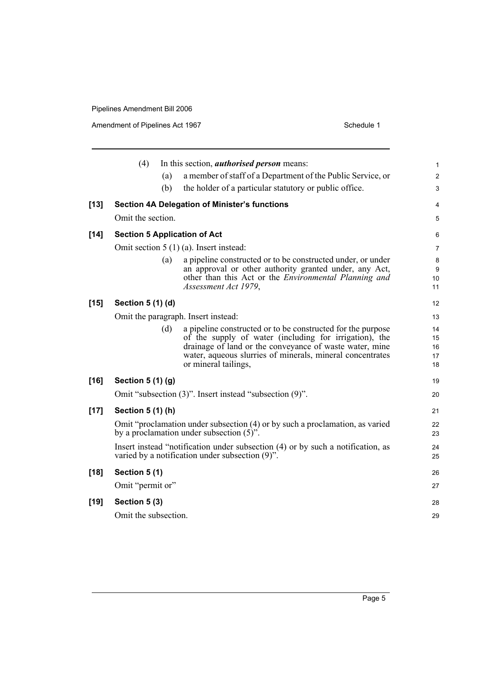|        | (4)                  |     | In this section, <i>authorised person</i> means:                                                                                                                                                                                                                      | 1                          |
|--------|----------------------|-----|-----------------------------------------------------------------------------------------------------------------------------------------------------------------------------------------------------------------------------------------------------------------------|----------------------------|
|        |                      | (a) | a member of staff of a Department of the Public Service, or                                                                                                                                                                                                           | $\overline{c}$             |
|        |                      | (b) | the holder of a particular statutory or public office.                                                                                                                                                                                                                | 3                          |
| $[13]$ |                      |     | <b>Section 4A Delegation of Minister's functions</b>                                                                                                                                                                                                                  | 4                          |
|        | Omit the section.    |     |                                                                                                                                                                                                                                                                       | 5                          |
| $[14]$ |                      |     | <b>Section 5 Application of Act</b>                                                                                                                                                                                                                                   | 6                          |
|        |                      |     | Omit section $5(1)(a)$ . Insert instead:                                                                                                                                                                                                                              | 7                          |
|        |                      | (a) | a pipeline constructed or to be constructed under, or under<br>an approval or other authority granted under, any Act,<br>other than this Act or the <i>Environmental Planning and</i><br>Assessment Act 1979,                                                         | 8<br>9<br>10<br>11         |
| $[15]$ | Section 5 (1) (d)    |     |                                                                                                                                                                                                                                                                       | 12                         |
|        |                      |     | Omit the paragraph. Insert instead:                                                                                                                                                                                                                                   | 13                         |
|        |                      | (d) | a pipeline constructed or to be constructed for the purpose<br>of the supply of water (including for irrigation), the<br>drainage of land or the conveyance of waste water, mine<br>water, aqueous slurries of minerals, mineral concentrates<br>or mineral tailings, | 14<br>15<br>16<br>17<br>18 |
| $[16]$ | Section 5 (1) (g)    |     |                                                                                                                                                                                                                                                                       | 19                         |
|        |                      |     | Omit "subsection (3)". Insert instead "subsection (9)".                                                                                                                                                                                                               | 20                         |
| $[17]$ | Section 5 (1) (h)    |     |                                                                                                                                                                                                                                                                       | 21                         |
|        |                      |     | Omit "proclamation under subsection (4) or by such a proclamation, as varied<br>by a proclamation under subsection $(5)$ ".                                                                                                                                           | 22<br>23                   |
|        |                      |     | Insert instead "notification under subsection (4) or by such a notification, as<br>varied by a notification under subsection $(9)$ ".                                                                                                                                 | 24<br>25                   |
| $[18]$ | Section 5 (1)        |     |                                                                                                                                                                                                                                                                       | 26                         |
|        | Omit "permit or"     |     |                                                                                                                                                                                                                                                                       | 27                         |
| $[19]$ | Section 5 (3)        |     |                                                                                                                                                                                                                                                                       | 28                         |
|        | Omit the subsection. |     |                                                                                                                                                                                                                                                                       | 29                         |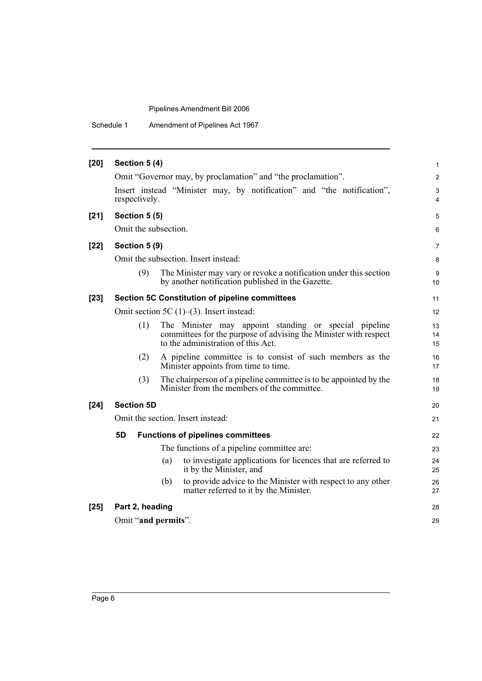| $[20]$ | Section 5 (4)                                  |                   |                                                                                                                                                                 |                |                |
|--------|------------------------------------------------|-------------------|-----------------------------------------------------------------------------------------------------------------------------------------------------------------|----------------|----------------|
|        |                                                |                   | Omit "Governor may, by proclamation" and "the proclamation".                                                                                                    |                | $\overline{2}$ |
|        |                                                | respectively.     | Insert instead "Minister may, by notification" and "the notification",                                                                                          |                | 3<br>4         |
| $[21]$ |                                                | Section 5 (5)     |                                                                                                                                                                 |                | 5              |
|        |                                                |                   | Omit the subsection.                                                                                                                                            |                | 6              |
| $[22]$ |                                                | Section 5 (9)     |                                                                                                                                                                 |                | $\overline{7}$ |
|        |                                                |                   | Omit the subsection. Insert instead:                                                                                                                            |                | 8              |
|        |                                                | (9)               | The Minister may vary or revoke a notification under this section<br>by another notification published in the Gazette.                                          | 10             | 9              |
| $[23]$ | Section 5C Constitution of pipeline committees |                   |                                                                                                                                                                 | 11             |                |
|        |                                                |                   | Omit section 5C $(1)$ – $(3)$ . Insert instead:                                                                                                                 | 12             |                |
|        |                                                | (1)               | The Minister may appoint standing or special pipeline<br>committees for the purpose of advising the Minister with respect<br>to the administration of this Act. | 13<br>14<br>15 |                |
|        |                                                | (2)               | A pipeline committee is to consist of such members as the<br>Minister appoints from time to time.                                                               | 16<br>17       |                |
|        |                                                | (3)               | The chairperson of a pipeline committee is to be appointed by the<br>Minister from the members of the committee.                                                | 18<br>19       |                |
| $[24]$ |                                                | <b>Section 5D</b> |                                                                                                                                                                 | 20             |                |
|        |                                                |                   | Omit the section. Insert instead:                                                                                                                               | 21             |                |
|        | 5D                                             |                   | <b>Functions of pipelines committees</b>                                                                                                                        | 22             |                |
|        |                                                |                   | The functions of a pipeline committee are:                                                                                                                      | 23             |                |
|        |                                                |                   | to investigate applications for licences that are referred to<br>(a)<br>it by the Minister, and                                                                 | 24<br>25       |                |
|        |                                                |                   | to provide advice to the Minister with respect to any other<br>(b)<br>matter referred to it by the Minister.                                                    | 26<br>27       |                |
| $[25]$ |                                                | Part 2, heading   |                                                                                                                                                                 | 28             |                |
|        | Omit "and permits".                            |                   |                                                                                                                                                                 |                | 29             |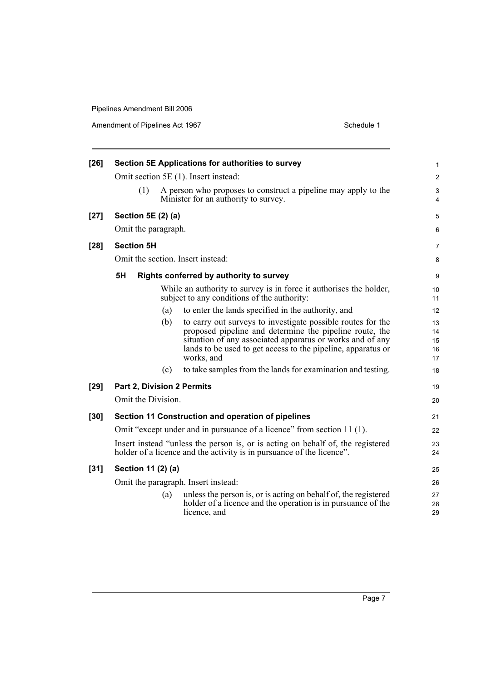| $[26]$ | Section 5E Applications for authorities to survey |     |                                                                                                                                                                                                                                                                   |                            |
|--------|---------------------------------------------------|-----|-------------------------------------------------------------------------------------------------------------------------------------------------------------------------------------------------------------------------------------------------------------------|----------------------------|
|        |                                                   |     | Omit section 5E (1). Insert instead:                                                                                                                                                                                                                              | $\overline{2}$             |
|        | (1)                                               |     | A person who proposes to construct a pipeline may apply to the<br>Minister for an authority to survey.                                                                                                                                                            | 3<br>4                     |
| $[27]$ | Section 5E (2) (a)                                |     |                                                                                                                                                                                                                                                                   | 5                          |
|        | Omit the paragraph.                               |     |                                                                                                                                                                                                                                                                   | 6                          |
| $[28]$ | <b>Section 5H</b>                                 |     |                                                                                                                                                                                                                                                                   | 7                          |
|        |                                                   |     | Omit the section. Insert instead:                                                                                                                                                                                                                                 | 8                          |
|        | 5H                                                |     | Rights conferred by authority to survey                                                                                                                                                                                                                           | 9                          |
|        |                                                   |     | While an authority to survey is in force it authorises the holder,<br>subject to any conditions of the authority:                                                                                                                                                 | 10<br>11                   |
|        |                                                   | (a) | to enter the lands specified in the authority, and                                                                                                                                                                                                                | 12                         |
|        |                                                   | (b) | to carry out surveys to investigate possible routes for the<br>proposed pipeline and determine the pipeline route, the<br>situation of any associated apparatus or works and of any<br>lands to be used to get access to the pipeline, apparatus or<br>works, and | 13<br>14<br>15<br>16<br>17 |
|        |                                                   | (c) | to take samples from the lands for examination and testing.                                                                                                                                                                                                       | 18                         |
| $[29]$ | <b>Part 2, Division 2 Permits</b>                 |     |                                                                                                                                                                                                                                                                   | 19                         |
|        | Omit the Division.                                |     |                                                                                                                                                                                                                                                                   | 20                         |
| $[30]$ |                                                   |     | Section 11 Construction and operation of pipelines                                                                                                                                                                                                                | 21                         |
|        |                                                   |     | Omit "except under and in pursuance of a licence" from section 11 (1).                                                                                                                                                                                            | 22                         |
|        |                                                   |     | Insert instead "unless the person is, or is acting on behalf of, the registered<br>holder of a licence and the activity is in pursuance of the licence".                                                                                                          | 23<br>24                   |
| $[31]$ | Section 11 (2) (a)                                |     |                                                                                                                                                                                                                                                                   | 25                         |
|        |                                                   |     | Omit the paragraph. Insert instead:                                                                                                                                                                                                                               | 26                         |
|        |                                                   | (a) | unless the person is, or is acting on behalf of, the registered<br>holder of a licence and the operation is in pursuance of the<br>licence, and                                                                                                                   | 27<br>28<br>29             |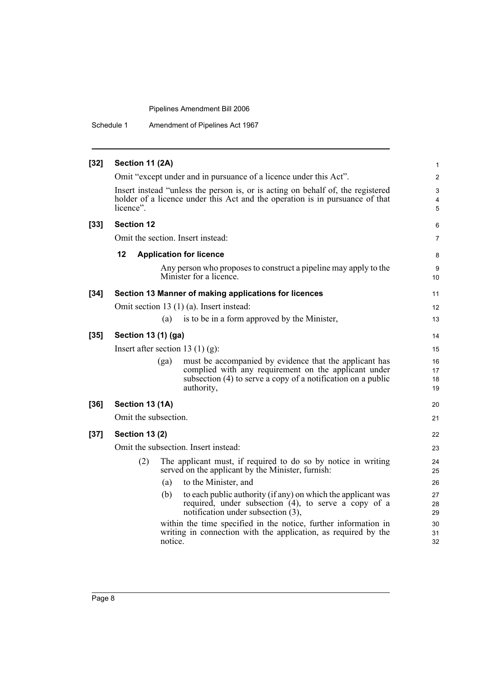Schedule 1 Amendment of Pipelines Act 1967

| $[32]$ | Section 11 (2A)       |         |                                                                                                                                                            | $\mathbf{1}$   |
|--------|-----------------------|---------|------------------------------------------------------------------------------------------------------------------------------------------------------------|----------------|
|        |                       |         | Omit "except under and in pursuance of a licence under this Act".                                                                                          | $\mathbf{2}$   |
|        |                       |         | Insert instead "unless the person is, or is acting on behalf of, the registered                                                                            | 3              |
|        |                       |         | holder of a licence under this Act and the operation is in pursuance of that                                                                               | 4              |
|        | licence".             |         |                                                                                                                                                            | 5              |
| $[33]$ | <b>Section 12</b>     |         |                                                                                                                                                            | 6              |
|        |                       |         | Omit the section. Insert instead:                                                                                                                          | $\overline{7}$ |
|        | 12                    |         | <b>Application for licence</b>                                                                                                                             | 8              |
|        |                       |         | Any person who proposes to construct a pipeline may apply to the<br>Minister for a licence.                                                                | 9<br>10        |
| $[34]$ |                       |         | Section 13 Manner of making applications for licences                                                                                                      | 11             |
|        |                       |         | Omit section 13 (1) (a). Insert instead:                                                                                                                   | 12             |
|        |                       | (a)     | is to be in a form approved by the Minister,                                                                                                               | 13             |
| $[35]$ | Section 13 (1) (ga)   |         |                                                                                                                                                            | 14             |
|        |                       |         | Insert after section 13 (1) (g):                                                                                                                           | 15             |
|        |                       | (ga)    | must be accompanied by evidence that the applicant has                                                                                                     | 16             |
|        |                       |         | complied with any requirement on the applicant under<br>subsection (4) to serve a copy of a notification on a public                                       | 17<br>18       |
|        |                       |         | authority,                                                                                                                                                 | 19             |
| $[36]$ | Section 13 (1A)       |         |                                                                                                                                                            | 20             |
|        | Omit the subsection.  |         |                                                                                                                                                            | 21             |
| $[37]$ | <b>Section 13 (2)</b> |         |                                                                                                                                                            | 22             |
|        |                       |         | Omit the subsection. Insert instead:                                                                                                                       | 23             |
|        | (2)                   |         | The applicant must, if required to do so by notice in writing<br>served on the applicant by the Minister, furnish:                                         | 24<br>25       |
|        |                       | (a)     | to the Minister, and                                                                                                                                       | 26             |
|        |                       | (b)     | to each public authority (if any) on which the applicant was<br>required, under subsection (4), to serve a copy of a<br>notification under subsection (3), | 27<br>28<br>29 |
|        |                       | notice. | within the time specified in the notice, further information in<br>writing in connection with the application, as required by the                          | 30<br>31<br>32 |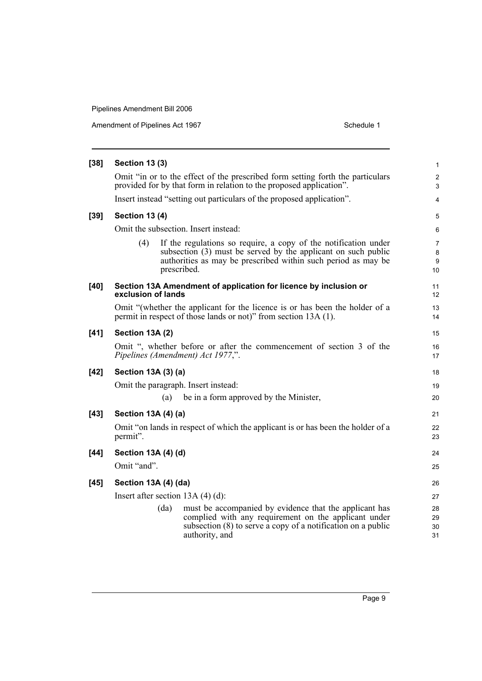| <b>Section 13 (3)</b>                                                                                                                                                                                                   |  |
|-------------------------------------------------------------------------------------------------------------------------------------------------------------------------------------------------------------------------|--|
| Omit "in or to the effect of the prescribed form setting forth the particulars<br>provided for by that form in relation to the proposed application".                                                                   |  |
| Insert instead "setting out particulars of the proposed application".                                                                                                                                                   |  |
| <b>Section 13 (4)</b>                                                                                                                                                                                                   |  |
| Omit the subsection. Insert instead:                                                                                                                                                                                    |  |
| If the regulations so require, a copy of the notification under<br>(4)<br>subsection (3) must be served by the applicant on such public<br>authorities as may be prescribed within such period as may be<br>prescribed. |  |
| Section 13A Amendment of application for licence by inclusion or<br>exclusion of lands                                                                                                                                  |  |
| Omit "(whether the applicant for the licence is or has been the holder of a<br>permit in respect of those lands or not)" from section 13A (1).                                                                          |  |
| Section 13A (2)                                                                                                                                                                                                         |  |
| Omit ", whether before or after the commencement of section 3 of the<br>Pipelines (Amendment) Act 1977,".                                                                                                               |  |
| Section 13A (3) (a)                                                                                                                                                                                                     |  |
| Omit the paragraph. Insert instead:                                                                                                                                                                                     |  |
| be in a form approved by the Minister,<br>(a)                                                                                                                                                                           |  |
| Section 13A (4) (a)                                                                                                                                                                                                     |  |
| Omit "on lands in respect of which the applicant is or has been the holder of a<br>permit".                                                                                                                             |  |
| Section 13A (4) (d)                                                                                                                                                                                                     |  |
| Omit "and".                                                                                                                                                                                                             |  |
| Section 13A (4) (da)                                                                                                                                                                                                    |  |
| Insert after section $13A(4)(d)$ :                                                                                                                                                                                      |  |
| must be accompanied by evidence that the applicant has<br>(da)<br>complied with any requirement on the applicant under<br>subsection $(8)$ to serve a copy of a notification on a public<br>authority, and              |  |
|                                                                                                                                                                                                                         |  |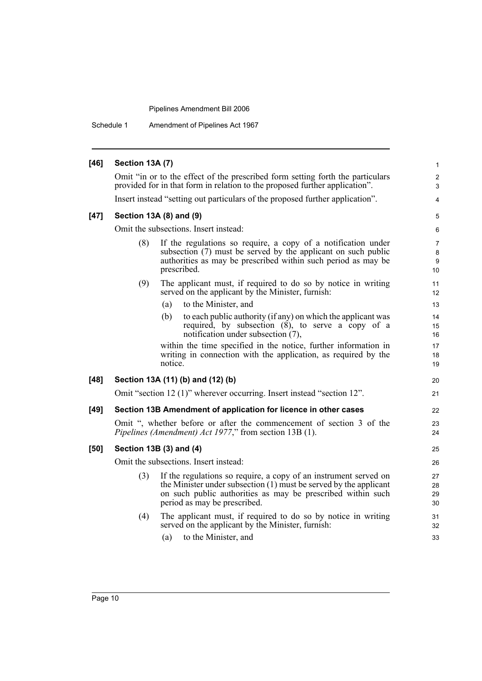Schedule 1 Amendment of Pipelines Act 1967

| $[46]$ | Section 13A (7)                                                               |                                                                                                                                                                                                                                        |                                |  |  |  |
|--------|-------------------------------------------------------------------------------|----------------------------------------------------------------------------------------------------------------------------------------------------------------------------------------------------------------------------------------|--------------------------------|--|--|--|
|        |                                                                               | Omit "in or to the effect of the prescribed form setting forth the particulars<br>provided for in that form in relation to the proposed further application".                                                                          | $\overline{2}$<br>3            |  |  |  |
|        | Insert instead "setting out particulars of the proposed further application". |                                                                                                                                                                                                                                        |                                |  |  |  |
| $[47]$ | Section 13A (8) and (9)                                                       |                                                                                                                                                                                                                                        |                                |  |  |  |
|        |                                                                               | Omit the subsections. Insert instead:                                                                                                                                                                                                  | 6                              |  |  |  |
|        | (8)                                                                           | If the regulations so require, a copy of a notification under<br>subsection (7) must be served by the applicant on such public<br>authorities as may be prescribed within such period as may be<br>prescribed.                         | $\overline{7}$<br>8<br>9<br>10 |  |  |  |
|        | (9)                                                                           | The applicant must, if required to do so by notice in writing<br>served on the applicant by the Minister, furnish:                                                                                                                     | 11<br>12                       |  |  |  |
|        |                                                                               | to the Minister, and<br>(a)                                                                                                                                                                                                            | 13                             |  |  |  |
|        |                                                                               | to each public authority (if any) on which the applicant was<br>(b)<br>required, by subsection (8), to serve a copy of a<br>notification under subsection (7),                                                                         | 14<br>15<br>16                 |  |  |  |
|        |                                                                               | within the time specified in the notice, further information in<br>writing in connection with the application, as required by the<br>notice.                                                                                           | 17<br>18<br>19                 |  |  |  |
| $[48]$ |                                                                               | Section 13A (11) (b) and (12) (b)                                                                                                                                                                                                      | 20                             |  |  |  |
|        |                                                                               | Omit "section 12 (1)" wherever occurring. Insert instead "section 12".                                                                                                                                                                 | 21                             |  |  |  |
| $[49]$ |                                                                               | Section 13B Amendment of application for licence in other cases                                                                                                                                                                        | 22                             |  |  |  |
|        |                                                                               | Omit ", whether before or after the commencement of section 3 of the<br>Pipelines (Amendment) Act 1977," from section 13B (1).                                                                                                         | 23<br>24                       |  |  |  |
| [50]   |                                                                               | Section 13B (3) and (4)                                                                                                                                                                                                                | 25                             |  |  |  |
|        |                                                                               | Omit the subsections. Insert instead:                                                                                                                                                                                                  | 26                             |  |  |  |
|        | (3)                                                                           | If the regulations so require, a copy of an instrument served on<br>the Minister under subsection $(1)$ must be served by the applicant<br>on such public authorities as may be prescribed within such<br>period as may be prescribed. | 27<br>28<br>29<br>30           |  |  |  |
|        | (4)                                                                           | The applicant must, if required to do so by notice in writing<br>served on the applicant by the Minister, furnish:<br>to the Minister, and<br>(a)                                                                                      | 31<br>32<br>33                 |  |  |  |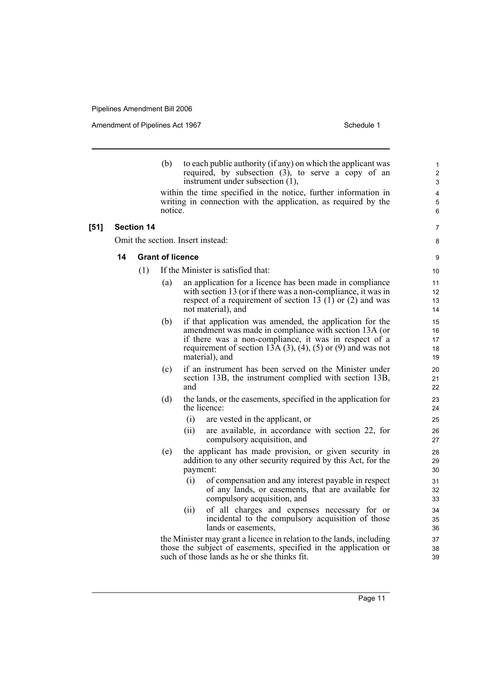Amendment of Pipelines Act 1967 Schedule 1

1

3 4 5

(b) to each public authority (if any) on which the applicant was required, by subsection  $(3)$ , to serve a copy of an instrument under subsection (1), within the time specified in the notice, further information in writing in connection with the application, as required by the notice. **[51] Section 14** Omit the section. Insert instead: **14 Grant of licence** (1) If the Minister is satisfied that: (a) an application for a licence has been made in compliance with section 13 (or if there was a non-compliance, it was in respect of a requirement of section 13  $(1)$  or  $(2)$  and was not material), and (b) if that application was amended, the application for the amendment was made in compliance with section 13A (or if there was a non-compliance, it was in respect of a requirement of section 13A  $(3)$ ,  $(4)$ ,  $(5)$  or  $(9)$  and was not material), and (c) if an instrument has been served on the Minister under section 13B, the instrument complied with section 13B, and (d) the lands, or the easements, specified in the application for the licence: (i) are vested in the applicant, or (ii) are available, in accordance with section 22, for compulsory acquisition, and (e) the applicant has made provision, or given security in addition to any other security required by this Act, for the payment: (i) of compensation and any interest payable in respect of any lands, or easements, that are available for compulsory acquisition, and (ii) of all charges and expenses necessary for or incidental to the compulsory acquisition of those lands or easements, the Minister may grant a licence in relation to the lands, including 2 6 7 8 9 10 11  $12$ 13 14 15 16 17 18 19  $20$ 21 22 23 24 25 26 27 28 29 30 31 32 33 34 35 36 37 38

those the subject of easements, specified in the application or such of those lands as he or she thinks fit.

39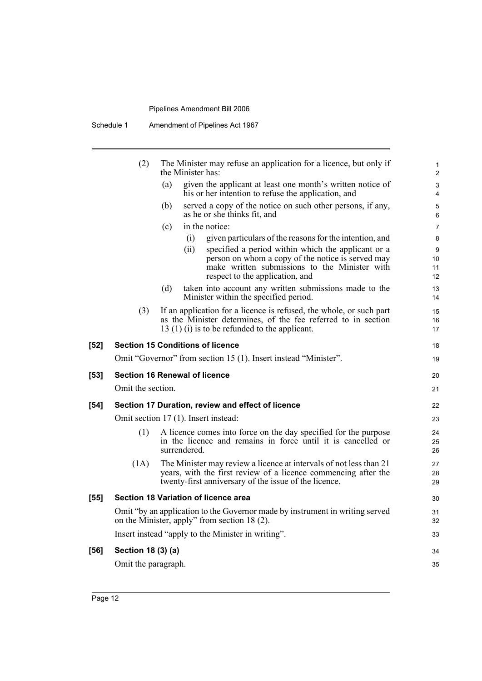| Schedule 1 | Amendment of Pipelines Act 1967 |
|------------|---------------------------------|
|------------|---------------------------------|

|      | (2)                 | The Minister may refuse an application for a licence, but only if<br>the Minister has:                                                                                                              | 1<br>$\overline{2}$ |
|------|---------------------|-----------------------------------------------------------------------------------------------------------------------------------------------------------------------------------------------------|---------------------|
|      |                     | given the applicant at least one month's written notice of<br>(a)<br>his or her intention to refuse the application, and                                                                            | 3<br>4              |
|      |                     | served a copy of the notice on such other persons, if any,<br>(b)<br>as he or she thinks fit, and                                                                                                   | 5<br>6              |
|      |                     | in the notice:<br>(c)                                                                                                                                                                               | 7                   |
|      |                     | (i)<br>given particulars of the reasons for the intention, and                                                                                                                                      | 8                   |
|      |                     | (ii)<br>specified a period within which the applicant or a<br>person on whom a copy of the notice is served may<br>make written submissions to the Minister with<br>respect to the application, and | 9<br>10<br>11<br>12 |
|      |                     | taken into account any written submissions made to the<br>(d)<br>Minister within the specified period.                                                                                              | 13<br>14            |
|      | (3)                 | If an application for a licence is refused, the whole, or such part<br>as the Minister determines, of the fee referred to in section<br>$13(1)(i)$ is to be refunded to the applicant.              | 15<br>16<br>17      |
| [52] |                     | <b>Section 15 Conditions of licence</b>                                                                                                                                                             | 18                  |
|      |                     | Omit "Governor" from section 15 (1). Insert instead "Minister".                                                                                                                                     | 19                  |
| [53] |                     | <b>Section 16 Renewal of licence</b>                                                                                                                                                                | 20                  |
|      | Omit the section.   |                                                                                                                                                                                                     | 21                  |
| [54] |                     | Section 17 Duration, review and effect of licence                                                                                                                                                   | 22                  |
|      |                     | Omit section 17 (1). Insert instead:                                                                                                                                                                | 23                  |
|      | (1)                 | A licence comes into force on the day specified for the purpose<br>in the licence and remains in force until it is cancelled or<br>surrendered.                                                     | 24<br>25<br>26      |
|      | (1A)                | The Minister may review a licence at intervals of not less than 21<br>years, with the first review of a licence commencing after the<br>twenty-first anniversary of the issue of the licence.       | 27<br>28<br>29      |
| [55] |                     | Section 18 Variation of licence area                                                                                                                                                                | 30                  |
|      |                     | Omit "by an application to the Governor made by instrument in writing served<br>on the Minister, apply" from section 18 (2).                                                                        | 31<br>32            |
|      |                     | Insert instead "apply to the Minister in writing".                                                                                                                                                  | 33                  |
| [56] | Section 18 (3) (a)  |                                                                                                                                                                                                     | 34                  |
|      | Omit the paragraph. |                                                                                                                                                                                                     | 35                  |
|      |                     |                                                                                                                                                                                                     |                     |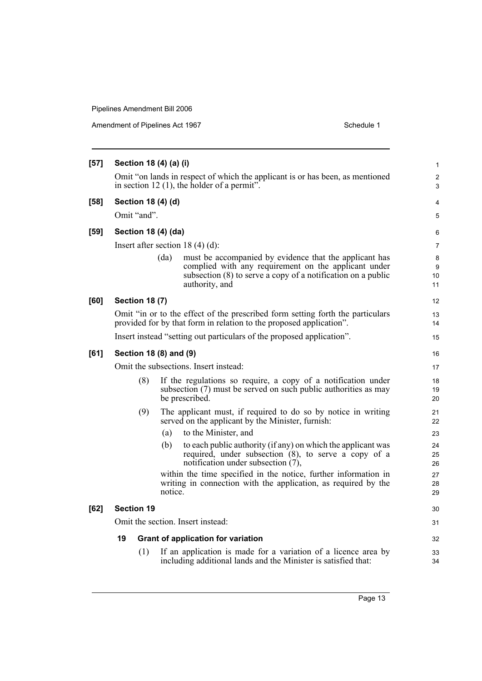| $[57]$ | Section 18 (4) (a) (i)                                                                                                          |                                                                                                                                                                                                          |                    |  |  |
|--------|---------------------------------------------------------------------------------------------------------------------------------|----------------------------------------------------------------------------------------------------------------------------------------------------------------------------------------------------------|--------------------|--|--|
|        | Omit "on lands in respect of which the applicant is or has been, as mentioned<br>in section 12 $(1)$ , the holder of a permit". |                                                                                                                                                                                                          |                    |  |  |
| $[58]$ |                                                                                                                                 | Section 18 (4) (d)                                                                                                                                                                                       | $\overline{4}$     |  |  |
|        | Omit "and".                                                                                                                     |                                                                                                                                                                                                          | 5                  |  |  |
| [59]   |                                                                                                                                 | Section 18 (4) (da)                                                                                                                                                                                      | 6                  |  |  |
|        |                                                                                                                                 | Insert after section 18 $(4)$ $(d)$ :                                                                                                                                                                    | 7                  |  |  |
|        |                                                                                                                                 | (da)<br>must be accompanied by evidence that the applicant has<br>complied with any requirement on the applicant under<br>subsection (8) to serve a copy of a notification on a public<br>authority, and | 8<br>9<br>10<br>11 |  |  |
| [60]   | <b>Section 18 (7)</b>                                                                                                           |                                                                                                                                                                                                          | 12                 |  |  |
|        |                                                                                                                                 | Omit "in or to the effect of the prescribed form setting forth the particulars<br>provided for by that form in relation to the proposed application".                                                    | 13<br>14           |  |  |
|        |                                                                                                                                 | Insert instead "setting out particulars of the proposed application".                                                                                                                                    | 15                 |  |  |
| [61]   |                                                                                                                                 | Section 18 (8) and (9)                                                                                                                                                                                   | 16                 |  |  |
|        |                                                                                                                                 | Omit the subsections. Insert instead:                                                                                                                                                                    | 17                 |  |  |
|        | (8)                                                                                                                             | If the regulations so require, a copy of a notification under<br>subsection (7) must be served on such public authorities as may<br>be prescribed.                                                       | 18<br>19<br>20     |  |  |
|        | (9)                                                                                                                             | The applicant must, if required to do so by notice in writing<br>served on the applicant by the Minister, furnish:                                                                                       | 21<br>22           |  |  |
|        |                                                                                                                                 | to the Minister, and<br>(a)                                                                                                                                                                              | 23                 |  |  |
|        |                                                                                                                                 | to each public authority (if any) on which the applicant was<br>(b)<br>required, under subsection (8), to serve a copy of a<br>notification under subsection (7),                                        | 24<br>25<br>26     |  |  |
|        |                                                                                                                                 | within the time specified in the notice, further information in<br>writing in connection with the application, as required by the<br>notice.                                                             | 27<br>28<br>29     |  |  |
| $[62]$ | <b>Section 19</b>                                                                                                               |                                                                                                                                                                                                          | 30                 |  |  |
|        |                                                                                                                                 | Omit the section. Insert instead:                                                                                                                                                                        | 31                 |  |  |
|        | 19                                                                                                                              | <b>Grant of application for variation</b>                                                                                                                                                                | 32                 |  |  |
|        | (1)                                                                                                                             | If an application is made for a variation of a licence area by<br>including additional lands and the Minister is satisfied that:                                                                         | 33<br>34           |  |  |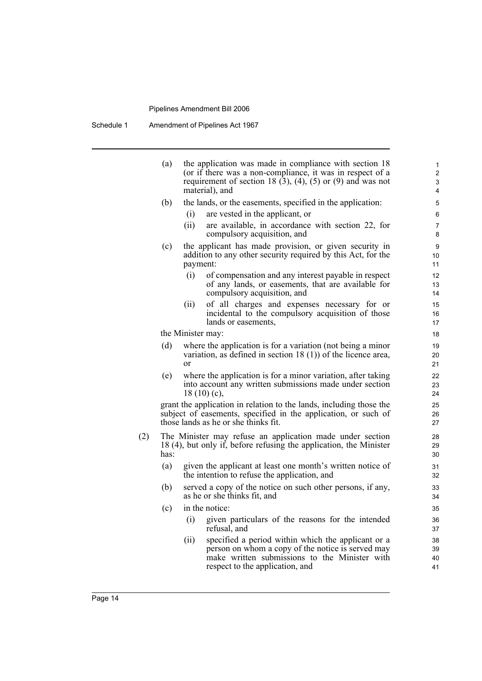|     | (a)  |             | the application was made in compliance with section 18<br>(or if there was a non-compliance, it was in respect of a<br>requirement of section 18 $(3)$ , $(4)$ , $(5)$ or $(9)$ and was not | $\mathbf{1}$<br>2<br>3 |
|-----|------|-------------|---------------------------------------------------------------------------------------------------------------------------------------------------------------------------------------------|------------------------|
|     |      |             | material), and                                                                                                                                                                              | 4                      |
|     | (b)  |             | the lands, or the easements, specified in the application:<br>are vested in the applicant, or                                                                                               | 5                      |
|     |      | (i)<br>(ii) | are available, in accordance with section 22, for                                                                                                                                           | 6                      |
|     |      |             | compulsory acquisition, and                                                                                                                                                                 | 7<br>8                 |
|     | (c)  | payment:    | the applicant has made provision, or given security in<br>addition to any other security required by this Act, for the                                                                      | 9<br>10<br>11          |
|     |      | (i)         | of compensation and any interest payable in respect<br>of any lands, or easements, that are available for<br>compulsory acquisition, and                                                    | 12<br>13<br>14         |
|     |      | (ii)        | of all charges and expenses necessary for or<br>incidental to the compulsory acquisition of those<br>lands or easements,                                                                    | 15<br>16<br>17         |
|     |      |             | the Minister may:                                                                                                                                                                           | 18                     |
|     | (d)  | $\alpha$ r  | where the application is for a variation (not being a minor<br>variation, as defined in section $18(1)$ of the licence area,                                                                | 19<br>20<br>21         |
|     | (e)  |             | where the application is for a minor variation, after taking<br>into account any written submissions made under section<br>$18(10)(c)$ ,                                                    | 22<br>23<br>24         |
|     |      |             | grant the application in relation to the lands, including those the<br>subject of easements, specified in the application, or such of<br>those lands as he or she thinks fit.               | 25<br>26<br>27         |
| (2) | has: |             | The Minister may refuse an application made under section<br>18 (4), but only if, before refusing the application, the Minister                                                             | 28<br>29<br>30         |
|     | (a)  |             | given the applicant at least one month's written notice of<br>the intention to refuse the application, and                                                                                  | 31<br>32               |
|     | (b)  |             | served a copy of the notice on such other persons, if any,<br>as he or she thinks fit, and                                                                                                  | 33<br>34               |
|     | (c)  |             | in the notice:                                                                                                                                                                              | 35                     |
|     |      | (i)         | given particulars of the reasons for the intended<br>refusal, and                                                                                                                           | 36<br>37               |
|     |      | (i)         | specified a period within which the applicant or a<br>person on whom a copy of the notice is served may<br>make written submissions to the Minister with<br>respect to the application, and | 38<br>39<br>40<br>41   |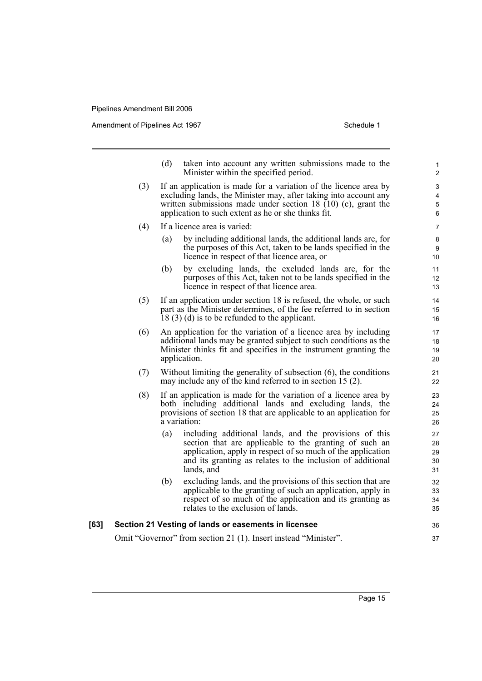Amendment of Pipelines Act 1967 Schedule 1

- (d) taken into account any written submissions made to the Minister within the specified period.
- (3) If an application is made for a variation of the licence area by excluding lands, the Minister may, after taking into account any written submissions made under section 18  $(10)$  (c), grant the application to such extent as he or she thinks fit.
- (4) If a licence area is varied:
	- (a) by including additional lands, the additional lands are, for the purposes of this Act, taken to be lands specified in the licence in respect of that licence area, or
	- (b) by excluding lands, the excluded lands are, for the purposes of this Act, taken not to be lands specified in the licence in respect of that licence area.
- (5) If an application under section 18 is refused, the whole, or such part as the Minister determines, of the fee referred to in section 18 (3) (d) is to be refunded to the applicant.
- (6) An application for the variation of a licence area by including additional lands may be granted subject to such conditions as the Minister thinks fit and specifies in the instrument granting the application.
- (7) Without limiting the generality of subsection (6), the conditions may include any of the kind referred to in section 15 (2).
- (8) If an application is made for the variation of a licence area by both including additional lands and excluding lands, the provisions of section 18 that are applicable to an application for a variation:
	- (a) including additional lands, and the provisions of this section that are applicable to the granting of such an application, apply in respect of so much of the application and its granting as relates to the inclusion of additional lands, and
	- (b) excluding lands, and the provisions of this section that are applicable to the granting of such an application, apply in respect of so much of the application and its granting as relates to the exclusion of lands.

#### **[63] Section 21 Vesting of lands or easements in licensee** Omit "Governor" from section 21 (1). Insert instead "Minister". 36 37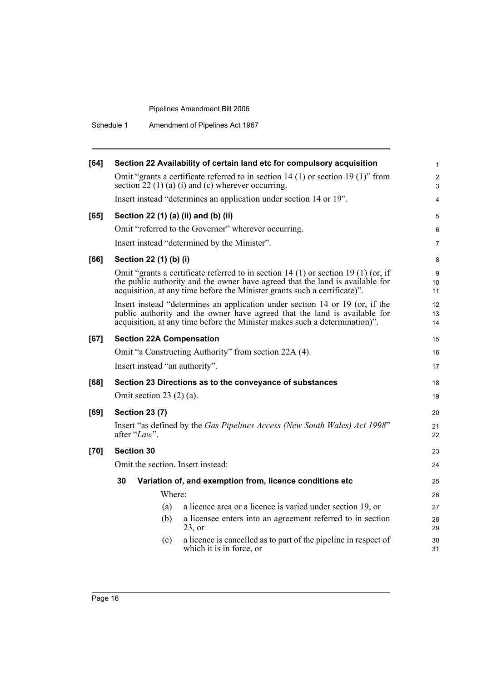Schedule 1 Amendment of Pipelines Act 1967

| [64]   | Section 22 Availability of certain land etc for compulsory acquisition                                                                                                                                                                           | 1                   |
|--------|--------------------------------------------------------------------------------------------------------------------------------------------------------------------------------------------------------------------------------------------------|---------------------|
|        | Omit "grants a certificate referred to in section 14 (1) or section 19 (1)" from<br>section $22(1)(a)(i)$ and (c) wherever occurring.                                                                                                            | $\overline{2}$<br>3 |
|        | Insert instead "determines an application under section 14 or 19".                                                                                                                                                                               | $\overline{4}$      |
| [65]   | Section 22 (1) (a) (ii) and (b) (ii)                                                                                                                                                                                                             | 5                   |
|        | Omit "referred to the Governor" wherever occurring.                                                                                                                                                                                              | 6                   |
|        | Insert instead "determined by the Minister".                                                                                                                                                                                                     | 7                   |
| [66]   | Section 22 (1) (b) (i)                                                                                                                                                                                                                           | 8                   |
|        | Omit "grants a certificate referred to in section 14 (1) or section 19 (1) (or, if<br>the public authority and the owner have agreed that the land is available for<br>acquisition, at any time before the Minister grants such a certificate)". | 9<br>10<br>11       |
|        | Insert instead "determines an application under section 14 or 19 (or, if the<br>public authority and the owner have agreed that the land is available for<br>acquisition, at any time before the Minister makes such a determination)".          | 12<br>13<br>14      |
| [67]   | <b>Section 22A Compensation</b>                                                                                                                                                                                                                  | 15                  |
|        | Omit "a Constructing Authority" from section 22A (4).                                                                                                                                                                                            | 16                  |
|        | Insert instead "an authority".                                                                                                                                                                                                                   | 17                  |
| [68]   | Section 23 Directions as to the conveyance of substances                                                                                                                                                                                         | 18                  |
|        | Omit section 23 $(2)$ $(a)$ .                                                                                                                                                                                                                    | 19                  |
| [69]   | <b>Section 23 (7)</b>                                                                                                                                                                                                                            | 20                  |
|        | Insert "as defined by the Gas Pipelines Access (New South Wales) Act 1998"<br>after "Law".                                                                                                                                                       | 21<br>22            |
| $[70]$ | <b>Section 30</b>                                                                                                                                                                                                                                | 23                  |
|        | Omit the section. Insert instead:                                                                                                                                                                                                                | 24                  |
|        | 30<br>Variation of, and exemption from, licence conditions etc                                                                                                                                                                                   | 25                  |
|        | Where:                                                                                                                                                                                                                                           | 26                  |
|        | a licence area or a licence is varied under section 19, or<br>(a)                                                                                                                                                                                | 27                  |
|        | a licensee enters into an agreement referred to in section<br>(b)<br>$23$ , or                                                                                                                                                                   | 28<br>29            |
|        | a licence is cancelled as to part of the pipeline in respect of<br>(c)<br>which it is in force, or                                                                                                                                               | 30<br>31            |
|        |                                                                                                                                                                                                                                                  |                     |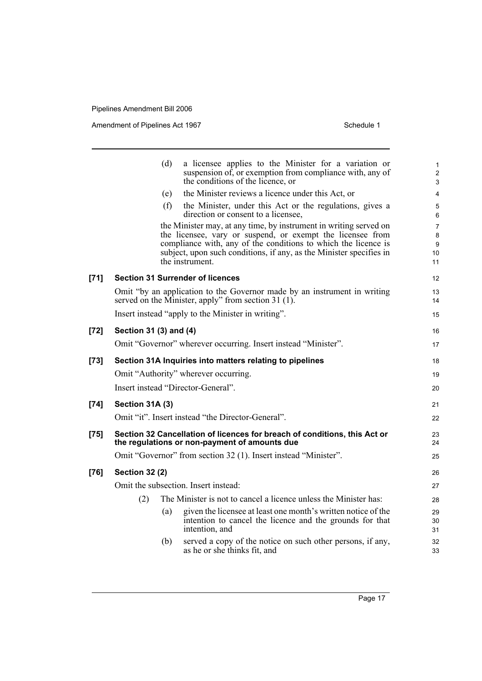|        | (d)<br>the conditions of the licence, or                        | a licensee applies to the Minister for a variation or<br>suspension of, or exemption from compliance with, any of                                                                                                                                                        | 1<br>$\overline{\mathbf{c}}$<br>3 |
|--------|-----------------------------------------------------------------|--------------------------------------------------------------------------------------------------------------------------------------------------------------------------------------------------------------------------------------------------------------------------|-----------------------------------|
|        | (e)                                                             | the Minister reviews a licence under this Act, or                                                                                                                                                                                                                        | 4                                 |
|        | (f)<br>direction or consent to a licensee,                      | the Minister, under this Act or the regulations, gives a                                                                                                                                                                                                                 | 5<br>6                            |
|        | the instrument.                                                 | the Minister may, at any time, by instrument in writing served on<br>the licensee, vary or suspend, or exempt the licensee from<br>compliance with, any of the conditions to which the licence is<br>subject, upon such conditions, if any, as the Minister specifies in | 7<br>8<br>9<br>10<br>11           |
| $[71]$ | <b>Section 31 Surrender of licences</b>                         |                                                                                                                                                                                                                                                                          | 12                                |
|        | served on the Minister, apply" from section 31 (1).             | Omit "by an application to the Governor made by an instrument in writing                                                                                                                                                                                                 | 13<br>14                          |
|        | Insert instead "apply to the Minister in writing".              |                                                                                                                                                                                                                                                                          | 15                                |
| $[72]$ | Section 31 (3) and (4)                                          |                                                                                                                                                                                                                                                                          | 16                                |
|        | Omit "Governor" wherever occurring. Insert instead "Minister".  |                                                                                                                                                                                                                                                                          | 17                                |
| $[73]$ | Section 31A Inquiries into matters relating to pipelines        |                                                                                                                                                                                                                                                                          | 18                                |
|        | Omit "Authority" wherever occurring.                            |                                                                                                                                                                                                                                                                          | 19                                |
|        | Insert instead "Director-General".                              |                                                                                                                                                                                                                                                                          | 20                                |
| $[74]$ | Section 31A (3)                                                 |                                                                                                                                                                                                                                                                          | 21                                |
|        | Omit "it". Insert instead "the Director-General".               |                                                                                                                                                                                                                                                                          | 22                                |
| $[75]$ | the regulations or non-payment of amounts due                   | Section 32 Cancellation of licences for breach of conditions, this Act or                                                                                                                                                                                                | 23<br>24                          |
|        | Omit "Governor" from section 32 (1). Insert instead "Minister". |                                                                                                                                                                                                                                                                          | 25                                |
| $[76]$ | <b>Section 32 (2)</b>                                           |                                                                                                                                                                                                                                                                          | 26                                |
|        | Omit the subsection. Insert instead:                            |                                                                                                                                                                                                                                                                          | 27                                |
|        | (2)                                                             | The Minister is not to cancel a licence unless the Minister has:                                                                                                                                                                                                         | 28                                |
|        | (a)<br>intention, and                                           | given the licensee at least one month's written notice of the<br>intention to cancel the licence and the grounds for that                                                                                                                                                | 29<br>30<br>31                    |
|        | (b)<br>as he or she thinks fit, and                             | served a copy of the notice on such other persons, if any,                                                                                                                                                                                                               | 32<br>33                          |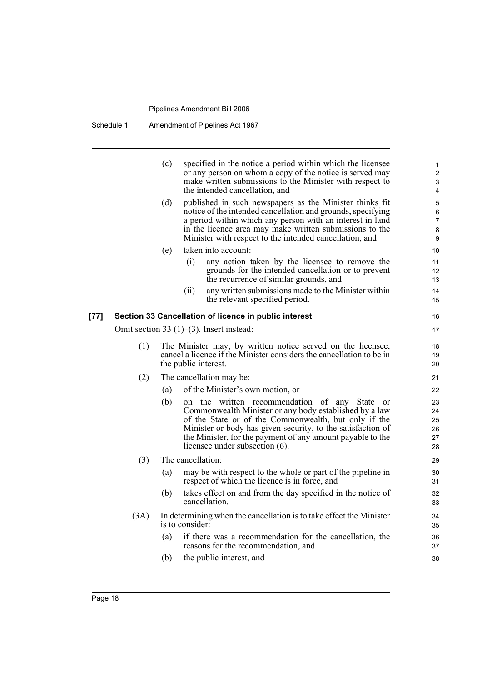Schedule 1 Amendment of Pipelines Act 1967

|      |      | (c) |                      | specified in the notice a period within which the licensee<br>or any person on whom a copy of the notice is served may<br>make written submissions to the Minister with respect to<br>the intended cancellation, and                                                                                                              | 1<br>$\overline{c}$<br>3<br>4      |
|------|------|-----|----------------------|-----------------------------------------------------------------------------------------------------------------------------------------------------------------------------------------------------------------------------------------------------------------------------------------------------------------------------------|------------------------------------|
|      |      | (d) |                      | published in such newspapers as the Minister thinks fit<br>notice of the intended cancellation and grounds, specifying<br>a period within which any person with an interest in land<br>in the licence area may make written submissions to the<br>Minister with respect to the intended cancellation, and                         | 5<br>6<br>$\overline{7}$<br>8<br>9 |
|      |      | (e) |                      | taken into account:                                                                                                                                                                                                                                                                                                               | 10                                 |
|      |      |     | (i)                  | any action taken by the licensee to remove the<br>grounds for the intended cancellation or to prevent<br>the recurrence of similar grounds, and                                                                                                                                                                                   | 11<br>12<br>13                     |
|      |      |     | (ii)                 | any written submissions made to the Minister within<br>the relevant specified period.                                                                                                                                                                                                                                             | 14<br>15                           |
| [77] |      |     |                      | Section 33 Cancellation of licence in public interest                                                                                                                                                                                                                                                                             | 16                                 |
|      |      |     |                      | Omit section 33 $(1)$ – $(3)$ . Insert instead:                                                                                                                                                                                                                                                                                   | 17                                 |
|      | (1)  |     | the public interest. | The Minister may, by written notice served on the licensee,<br>cancel a licence if the Minister considers the cancellation to be in                                                                                                                                                                                               | 18<br>19<br>20                     |
|      | (2)  |     |                      | The cancellation may be:                                                                                                                                                                                                                                                                                                          | 21                                 |
|      |      | (a) |                      | of the Minister's own motion, or                                                                                                                                                                                                                                                                                                  | 22                                 |
|      |      | (b) |                      | on the written recommendation of any State<br>or<br>Commonwealth Minister or any body established by a law<br>of the State or of the Commonwealth, but only if the<br>Minister or body has given security, to the satisfaction of<br>the Minister, for the payment of any amount payable to the<br>licensee under subsection (6). | 23<br>24<br>25<br>26<br>27<br>28   |
|      | (3)  |     | The cancellation:    |                                                                                                                                                                                                                                                                                                                                   | 29                                 |
|      |      | (a) |                      | may be with respect to the whole or part of the pipeline in<br>respect of which the licence is in force, and                                                                                                                                                                                                                      | 30<br>31                           |
|      |      | (b) |                      | takes effect on and from the day specified in the notice of<br>cancellation.                                                                                                                                                                                                                                                      | 32<br>33                           |
|      | (3A) |     | is to consider:      | In determining when the cancellation is to take effect the Minister                                                                                                                                                                                                                                                               | 34<br>35                           |
|      |      | (a) |                      | if there was a recommendation for the cancellation, the<br>reasons for the recommendation, and                                                                                                                                                                                                                                    | 36<br>37                           |
|      |      | (b) |                      | the public interest, and                                                                                                                                                                                                                                                                                                          | 38                                 |
|      |      |     |                      |                                                                                                                                                                                                                                                                                                                                   |                                    |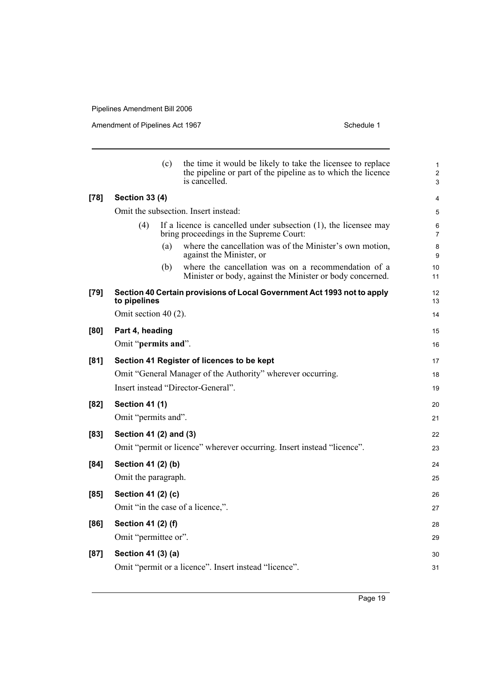|        |                        | (c) | the time it would be likely to take the licensee to replace<br>the pipeline or part of the pipeline as to which the licence<br>is cancelled. | 1<br>$\overline{\mathbf{c}}$<br>3 |
|--------|------------------------|-----|----------------------------------------------------------------------------------------------------------------------------------------------|-----------------------------------|
| $[78]$ | <b>Section 33 (4)</b>  |     |                                                                                                                                              | 4                                 |
|        |                        |     | Omit the subsection. Insert instead:                                                                                                         | 5                                 |
|        | (4)                    |     | If a licence is cancelled under subsection $(1)$ , the licensee may<br>bring proceedings in the Supreme Court:                               | 6<br>7                            |
|        |                        | (a) | where the cancellation was of the Minister's own motion,<br>against the Minister, or                                                         | 8<br>9                            |
|        |                        | (b) | where the cancellation was on a recommendation of a<br>Minister or body, against the Minister or body concerned.                             | 10<br>11                          |
| [79]   | to pipelines           |     | Section 40 Certain provisions of Local Government Act 1993 not to apply                                                                      | 12<br>13                          |
|        | Omit section 40 (2).   |     |                                                                                                                                              | 14                                |
| [80]   | Part 4, heading        |     |                                                                                                                                              | 15                                |
|        | Omit "permits and".    |     |                                                                                                                                              | 16                                |
| [81]   |                        |     | Section 41 Register of licences to be kept                                                                                                   | 17                                |
|        |                        |     | Omit "General Manager of the Authority" wherever occurring.                                                                                  | 18                                |
|        |                        |     | Insert instead "Director-General".                                                                                                           | 19                                |
| [82]   | <b>Section 41 (1)</b>  |     |                                                                                                                                              | 20                                |
|        | Omit "permits and".    |     |                                                                                                                                              | 21                                |
| [83]   | Section 41 (2) and (3) |     |                                                                                                                                              | 22                                |
|        |                        |     | Omit "permit or licence" wherever occurring. Insert instead "licence".                                                                       | 23                                |
| [84]   | Section 41 (2) (b)     |     |                                                                                                                                              | 24                                |
|        | Omit the paragraph.    |     |                                                                                                                                              | 25                                |
| [85]   | Section 41 (2) (c)     |     |                                                                                                                                              | 26                                |
|        |                        |     | Omit "in the case of a licence,".                                                                                                            | 27                                |
| [86]   | Section 41 (2) (f)     |     |                                                                                                                                              | 28                                |
|        | Omit "permittee or".   |     |                                                                                                                                              | 29                                |
| [87]   | Section 41 (3) (a)     |     |                                                                                                                                              | 30                                |
|        |                        |     | Omit "permit or a licence". Insert instead "licence".                                                                                        | 31                                |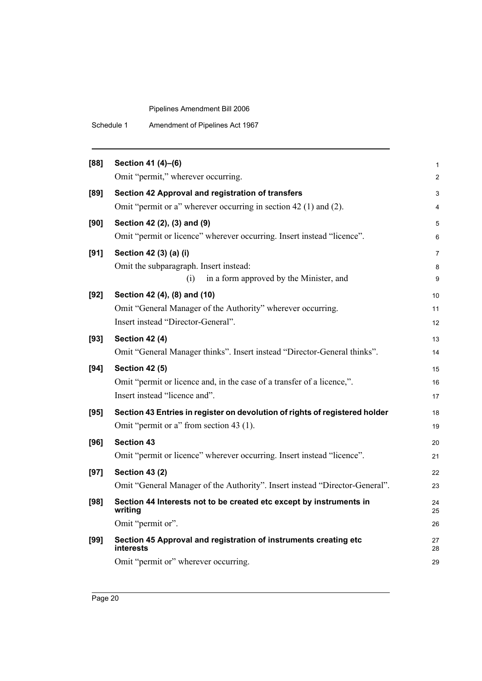| Schedule 1 | Amendment of Pipelines Act 1967 |
|------------|---------------------------------|
|------------|---------------------------------|

| [88]   | Section 41 (4)-(6)                                                             | 1                       |
|--------|--------------------------------------------------------------------------------|-------------------------|
|        | Omit "permit," wherever occurring.                                             | $\overline{\mathbf{c}}$ |
| $[89]$ | Section 42 Approval and registration of transfers                              | 3                       |
|        | Omit "permit or a" wherever occurring in section 42 (1) and (2).               | 4                       |
| [90]   | Section 42 (2), (3) and (9)                                                    | 5                       |
|        | Omit "permit or licence" wherever occurring. Insert instead "licence".         | 6                       |
| [91]   | Section 42 (3) (a) (i)                                                         | 7                       |
|        | Omit the subparagraph. Insert instead:                                         | 8                       |
|        | in a form approved by the Minister, and<br>(i)                                 | 9                       |
| $[92]$ | Section 42 (4), (8) and (10)                                                   | 10                      |
|        | Omit "General Manager of the Authority" wherever occurring.                    | 11                      |
|        | Insert instead "Director-General".                                             | 12                      |
| $[93]$ | <b>Section 42 (4)</b>                                                          | 13                      |
|        | Omit "General Manager thinks". Insert instead "Director-General thinks".       | 14                      |
|        |                                                                                |                         |
| [94]   | <b>Section 42 (5)</b>                                                          | 15                      |
|        | Omit "permit or licence and, in the case of a transfer of a licence,".         | 16                      |
|        | Insert instead "licence and".                                                  | 17                      |
| [95]   | Section 43 Entries in register on devolution of rights of registered holder    | 18                      |
|        | Omit "permit or a" from section 43 (1).                                        | 19                      |
| [96]   | <b>Section 43</b>                                                              | 20                      |
|        | Omit "permit or licence" wherever occurring. Insert instead "licence".         | 21                      |
| $[97]$ | <b>Section 43 (2)</b>                                                          | 22                      |
|        | Omit "General Manager of the Authority". Insert instead "Director-General".    | 23                      |
| $[98]$ | Section 44 Interests not to be created etc except by instruments in<br>writing | 24<br>25                |
|        | Omit "permit or".                                                              | 26                      |
| [99]   | Section 45 Approval and registration of instruments creating etc<br>interests  | 27<br>28                |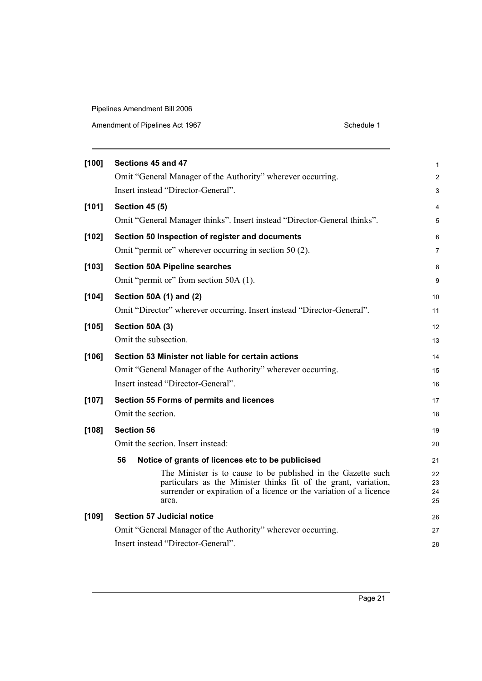|         | Sections 45 and 47                                                                                                                                                                                             |                      |
|---------|----------------------------------------------------------------------------------------------------------------------------------------------------------------------------------------------------------------|----------------------|
| [100]   |                                                                                                                                                                                                                | $\mathbf{1}$         |
|         | Omit "General Manager of the Authority" wherever occurring.                                                                                                                                                    | $\overline{2}$       |
|         | Insert instead "Director-General".                                                                                                                                                                             | 3                    |
| [101]   | <b>Section 45 (5)</b>                                                                                                                                                                                          | 4                    |
|         | Omit "General Manager thinks". Insert instead "Director-General thinks".                                                                                                                                       | 5                    |
| $[102]$ | Section 50 Inspection of register and documents                                                                                                                                                                | 6                    |
|         | Omit "permit or" wherever occurring in section 50 (2).                                                                                                                                                         | $\overline{7}$       |
| $[103]$ | <b>Section 50A Pipeline searches</b>                                                                                                                                                                           | 8                    |
|         | Omit "permit or" from section 50A (1).                                                                                                                                                                         | 9                    |
| $[104]$ | Section 50A (1) and (2)                                                                                                                                                                                        | 10                   |
|         | Omit "Director" wherever occurring. Insert instead "Director-General".                                                                                                                                         | 11                   |
| $[105]$ | Section 50A (3)                                                                                                                                                                                                | 12                   |
|         | Omit the subsection.                                                                                                                                                                                           | 13                   |
| $[106]$ | Section 53 Minister not liable for certain actions                                                                                                                                                             | 14                   |
|         | Omit "General Manager of the Authority" wherever occurring.                                                                                                                                                    | 15                   |
|         | Insert instead "Director-General".                                                                                                                                                                             | 16                   |
| [107]   | Section 55 Forms of permits and licences                                                                                                                                                                       | 17                   |
|         | Omit the section.                                                                                                                                                                                              | 18                   |
| $[108]$ | <b>Section 56</b>                                                                                                                                                                                              | 19                   |
|         | Omit the section. Insert instead:                                                                                                                                                                              | 20                   |
|         | 56<br>Notice of grants of licences etc to be publicised                                                                                                                                                        | 21                   |
|         | The Minister is to cause to be published in the Gazette such<br>particulars as the Minister thinks fit of the grant, variation,<br>surrender or expiration of a licence or the variation of a licence<br>area. | 22<br>23<br>24<br>25 |
| [109]   | <b>Section 57 Judicial notice</b>                                                                                                                                                                              | 26                   |
|         | Omit "General Manager of the Authority" wherever occurring.                                                                                                                                                    | 27                   |
|         | Insert instead "Director-General".                                                                                                                                                                             | 28                   |
|         |                                                                                                                                                                                                                |                      |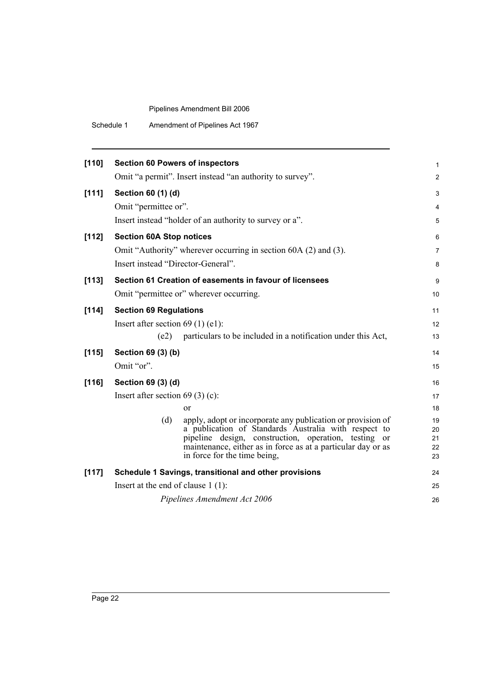| [110] | <b>Section 60 Powers of inspectors</b> |                                                                                                                                                                                                                                                           | 1                    |
|-------|----------------------------------------|-----------------------------------------------------------------------------------------------------------------------------------------------------------------------------------------------------------------------------------------------------------|----------------------|
|       |                                        | Omit "a permit". Insert instead "an authority to survey".                                                                                                                                                                                                 | $\overline{2}$       |
| [111] | Section 60 (1) (d)                     |                                                                                                                                                                                                                                                           | 3                    |
|       | Omit "permittee or".                   |                                                                                                                                                                                                                                                           | 4                    |
|       |                                        | Insert instead "holder of an authority to survey or a".                                                                                                                                                                                                   | 5                    |
| [112] | <b>Section 60A Stop notices</b>        |                                                                                                                                                                                                                                                           | 6                    |
|       |                                        | Omit "Authority" wherever occurring in section 60A (2) and (3).                                                                                                                                                                                           | 7                    |
|       | Insert instead "Director-General".     |                                                                                                                                                                                                                                                           | 8                    |
| [113] |                                        | Section 61 Creation of easements in favour of licensees                                                                                                                                                                                                   | 9                    |
|       |                                        | Omit "permittee or" wherever occurring.                                                                                                                                                                                                                   | 10                   |
| [114] | <b>Section 69 Regulations</b>          |                                                                                                                                                                                                                                                           | 11                   |
|       | Insert after section $69(1)$ (e1):     |                                                                                                                                                                                                                                                           | 12                   |
|       | (e2)                                   | particulars to be included in a notification under this Act,                                                                                                                                                                                              | 13                   |
| [115] | Section 69 (3) (b)                     |                                                                                                                                                                                                                                                           | 14                   |
|       | Omit "or".                             |                                                                                                                                                                                                                                                           | 15                   |
| [116] | Section 69 (3) (d)                     |                                                                                                                                                                                                                                                           | 16                   |
|       | Insert after section 69 (3) (c):       |                                                                                                                                                                                                                                                           | 17                   |
|       |                                        | $\alpha$                                                                                                                                                                                                                                                  | 18                   |
|       | (d)                                    | apply, adopt or incorporate any publication or provision of<br>a publication of Standards Australia with respect to<br>pipeline design, construction, operation, testing<br><sub>or</sub><br>maintenance, either as in force as at a particular day or as | 19<br>20<br>21<br>22 |
|       |                                        | in force for the time being,                                                                                                                                                                                                                              | 23                   |
| [117] |                                        | Schedule 1 Savings, transitional and other provisions                                                                                                                                                                                                     | 24                   |
|       | Insert at the end of clause $1(1)$ :   |                                                                                                                                                                                                                                                           | 25                   |
|       |                                        | Pipelines Amendment Act 2006                                                                                                                                                                                                                              | 26                   |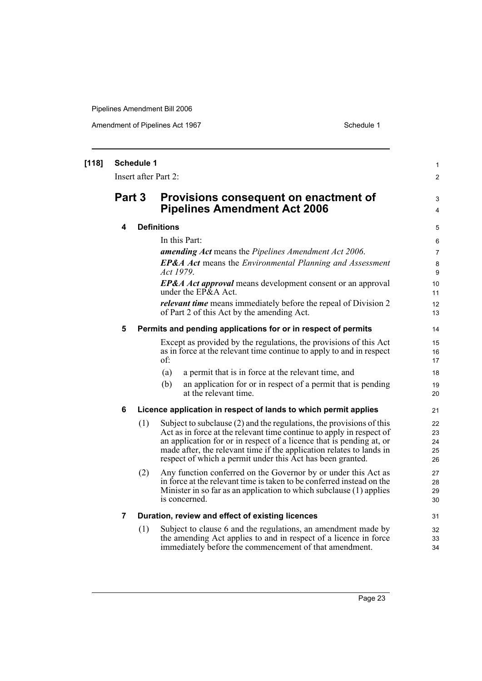| [118] | <b>Schedule 1</b><br>Insert after Part 2: |     |                                                                                                                                                                                                                                                                                                                                                              |                            |
|-------|-------------------------------------------|-----|--------------------------------------------------------------------------------------------------------------------------------------------------------------------------------------------------------------------------------------------------------------------------------------------------------------------------------------------------------------|----------------------------|
|       | Part 3                                    |     | Provisions consequent on enactment of<br><b>Pipelines Amendment Act 2006</b>                                                                                                                                                                                                                                                                                 | 2<br>3<br>4                |
|       | 4                                         |     | <b>Definitions</b>                                                                                                                                                                                                                                                                                                                                           | 5                          |
|       |                                           |     | In this Part:                                                                                                                                                                                                                                                                                                                                                | 6                          |
|       |                                           |     | <b>amending Act</b> means the Pipelines Amendment Act 2006.                                                                                                                                                                                                                                                                                                  | $\overline{7}$             |
|       |                                           |     | <b>EP&amp;A Act</b> means the Environmental Planning and Assessment<br>Act 1979.                                                                                                                                                                                                                                                                             | 8<br>9                     |
|       |                                           |     | <b>EP&amp;A Act approval</b> means development consent or an approval<br>under the $E P\&A$ Act.                                                                                                                                                                                                                                                             | 10<br>11                   |
|       |                                           |     | <i>relevant time</i> means immediately before the repeal of Division 2<br>of Part 2 of this Act by the amending Act.                                                                                                                                                                                                                                         | 12<br>13                   |
|       | 5                                         |     | Permits and pending applications for or in respect of permits                                                                                                                                                                                                                                                                                                | 14                         |
|       |                                           |     | Except as provided by the regulations, the provisions of this Act<br>as in force at the relevant time continue to apply to and in respect<br>of:                                                                                                                                                                                                             | 15<br>16<br>17             |
|       |                                           |     | a permit that is in force at the relevant time, and<br>(a)                                                                                                                                                                                                                                                                                                   | 18                         |
|       |                                           |     | (b)<br>an application for or in respect of a permit that is pending<br>at the relevant time.                                                                                                                                                                                                                                                                 | 19<br>20                   |
|       | 6                                         |     | Licence application in respect of lands to which permit applies                                                                                                                                                                                                                                                                                              | 21                         |
|       |                                           | (1) | Subject to subclause $(2)$ and the regulations, the provisions of this<br>Act as in force at the relevant time continue to apply in respect of<br>an application for or in respect of a licence that is pending at, or<br>made after, the relevant time if the application relates to lands in<br>respect of which a permit under this Act has been granted. | 22<br>23<br>24<br>25<br>26 |
|       |                                           | (2) | Any function conferred on the Governor by or under this Act as<br>in force at the relevant time is taken to be conferred instead on the<br>Minister in so far as an application to which subclause (1) applies<br>is concerned.                                                                                                                              | 27<br>28<br>29<br>30       |
|       | $\overline{\mathbf{7}}$                   |     | Duration, review and effect of existing licences                                                                                                                                                                                                                                                                                                             | 31                         |
|       |                                           | (1) | Subject to clause 6 and the regulations, an amendment made by<br>the amending Act applies to and in respect of a licence in force<br>immediately before the commencement of that amendment.                                                                                                                                                                  | 32<br>33<br>34             |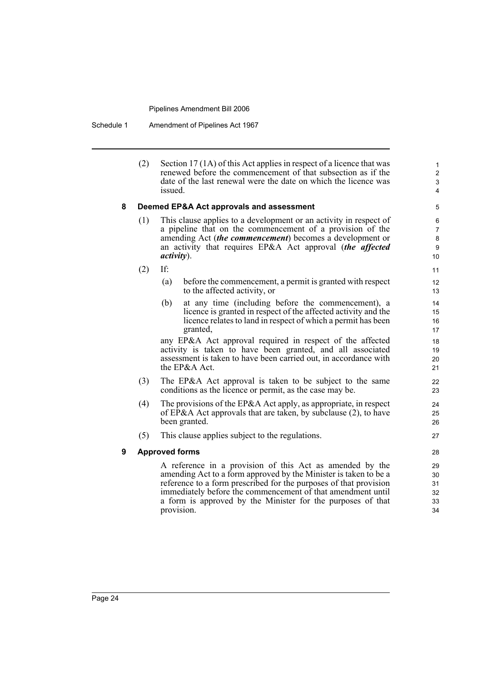Schedule 1 Amendment of Pipelines Act 1967

(2) Section 17 (1A) of this Act applies in respect of a licence that was renewed before the commencement of that subsection as if the date of the last renewal were the date on which the licence was issued.

#### **8 Deemed EP&A Act approvals and assessment**

- (1) This clause applies to a development or an activity in respect of a pipeline that on the commencement of a provision of the amending Act (*the commencement*) becomes a development or an activity that requires EP&A Act approval (*the affected activity*).
- (2) If:
	- (a) before the commencement, a permit is granted with respect to the affected activity, or
	- (b) at any time (including before the commencement), a licence is granted in respect of the affected activity and the licence relates to land in respect of which a permit has been granted,

any EP&A Act approval required in respect of the affected activity is taken to have been granted, and all associated assessment is taken to have been carried out, in accordance with the EP&A Act.

- (3) The EP&A Act approval is taken to be subject to the same conditions as the licence or permit, as the case may be.
- (4) The provisions of the EP&A Act apply, as appropriate, in respect of EP&A Act approvals that are taken, by subclause (2), to have been granted.
- (5) This clause applies subject to the regulations.

#### **9 Approved forms**

A reference in a provision of this Act as amended by the amending Act to a form approved by the Minister is taken to be a reference to a form prescribed for the purposes of that provision immediately before the commencement of that amendment until a form is approved by the Minister for the purposes of that provision.